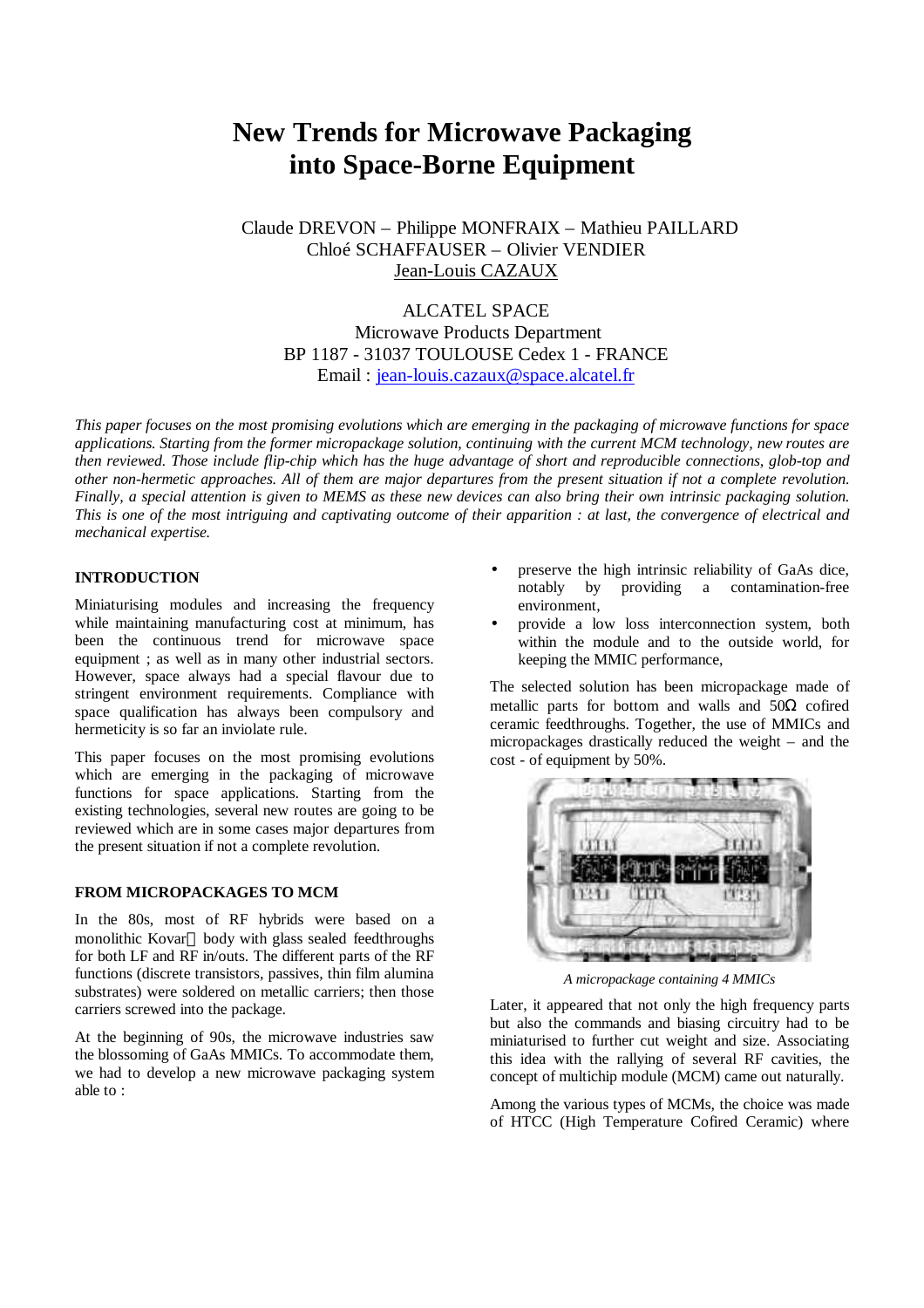# **New Trends for Microwave Packaging into Space-Borne Equipment**

Claude DREVON – Philippe MONFRAIX – Mathieu PAILLARD Chloé SCHAFFAUSER – Olivier VENDIER Jean-Louis CAZAUX

ALCATEL SPACE Microwave Products Department BP 1187 - 31037 TOULOUSE Cedex 1 - FRANCE Email : jean-louis.cazaux@space.alcatel.fr

*This paper focuses on the most promising evolutions which are emerging in the packaging of microwave functions for space applications. Starting from the former micropackage solution, continuing with the current MCM technology, new routes are then reviewed. Those include flip-chip which has the huge advantage of short and reproducible connections, glob-top and other non-hermetic approaches. All of them are major departures from the present situation if not a complete revolution. Finally, a special attention is given to MEMS as these new devices can also bring their own intrinsic packaging solution. This is one of the most intriguing and captivating outcome of their apparition : at last, the convergence of electrical and mechanical expertise.*

# **INTRODUCTION**

Miniaturising modules and increasing the frequency while maintaining manufacturing cost at minimum, has been the continuous trend for microwave space equipment ; as well as in many other industrial sectors. However, space always had a special flavour due to stringent environment requirements. Compliance with space qualification has always been compulsory and hermeticity is so far an inviolate rule.

This paper focuses on the most promising evolutions which are emerging in the packaging of microwave functions for space applications. Starting from the existing technologies, several new routes are going to be reviewed which are in some cases major departures from the present situation if not a complete revolution.

## **FROM MICROPACKAGES TO MCM**

In the 80s, most of RF hybrids were based on a monolithic Kovar® body with glass sealed feedthroughs for both LF and RF in/outs. The different parts of the RF functions (discrete transistors, passives, thin film alumina substrates) were soldered on metallic carriers; then those carriers screwed into the package.

At the beginning of 90s, the microwave industries saw the blossoming of GaAs MMICs. To accommodate them, we had to develop a new microwave packaging system able to :

- preserve the high intrinsic reliability of GaAs dice, notably by providing a contamination-free environment,
- provide a low loss interconnection system, both within the module and to the outside world, for keeping the MMIC performance,

The selected solution has been micropackage made of metallic parts for bottom and walls and  $50\Omega$  cofired ceramic feedthroughs. Together, the use of MMICs and micropackages drastically reduced the weight – and the cost - of equipment by 50%.



*A micropackage containing 4 MMICs*

Later, it appeared that not only the high frequency parts but also the commands and biasing circuitry had to be miniaturised to further cut weight and size. Associating this idea with the rallying of several RF cavities, the concept of multichip module (MCM) came out naturally.

Among the various types of MCMs, the choice was made of HTCC (High Temperature Cofired Ceramic) where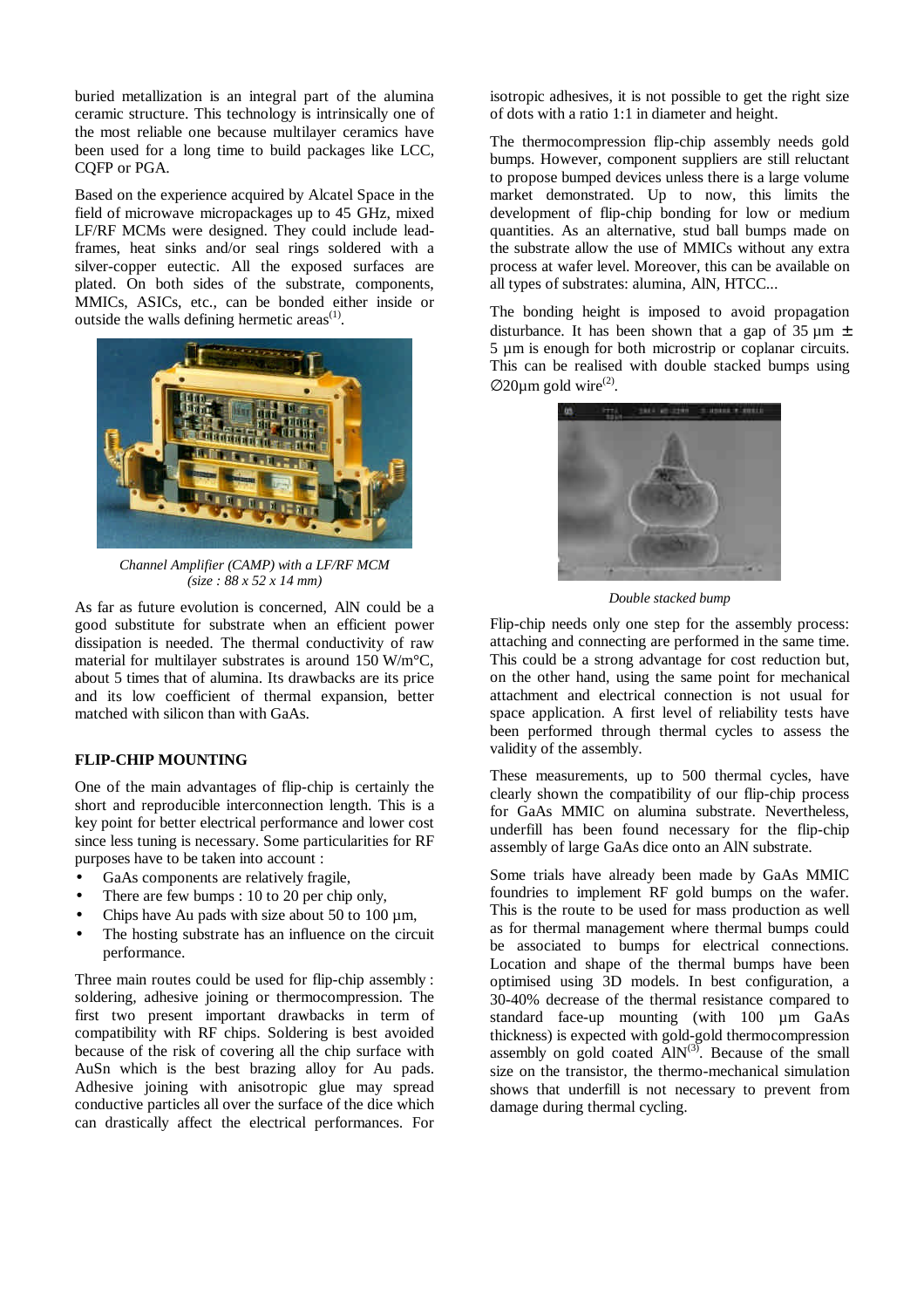buried metallization is an integral part of the alumina ceramic structure. This technology is intrinsically one of the most reliable one because multilayer ceramics have been used for a long time to build packages like LCC, CQFP or PGA.

Based on the experience acquired by Alcatel Space in the field of microwave micropackages up to 45 GHz, mixed LF/RF MCMs were designed. They could include leadframes, heat sinks and/or seal rings soldered with a silver-copper eutectic. All the exposed surfaces are plated. On both sides of the substrate, components, MMICs, ASICs, etc., can be bonded either inside or outside the walls defining hermetic areas $<sup>(1)</sup>$ .</sup>



*Channel Amplifier (CAMP) with a LF/RF MCM (size : 88 x 52 x 14 mm)*

As far as future evolution is concerned, AlN could be a good substitute for substrate when an efficient power dissipation is needed. The thermal conductivity of raw material for multilayer substrates is around 150 W/m°C, about 5 times that of alumina. Its drawbacks are its price and its low coefficient of thermal expansion, better matched with silicon than with GaAs.

### **FLIP-CHIP MOUNTING**

One of the main advantages of flip-chip is certainly the short and reproducible interconnection length. This is a key point for better electrical performance and lower cost since less tuning is necessary. Some particularities for RF purposes have to be taken into account :

- GaAs components are relatively fragile,
- There are few bumps : 10 to 20 per chip only,
- Chips have Au pads with size about 50 to 100 um.
- The hosting substrate has an influence on the circuit performance.

Three main routes could be used for flip-chip assembly : soldering, adhesive joining or thermocompression. The first two present important drawbacks in term of compatibility with RF chips. Soldering is best avoided because of the risk of covering all the chip surface with AuSn which is the best brazing alloy for Au pads. Adhesive joining with anisotropic glue may spread conductive particles all over the surface of the dice which can drastically affect the electrical performances. For isotropic adhesives, it is not possible to get the right size of dots with a ratio 1:1 in diameter and height.

The thermocompression flip-chip assembly needs gold bumps. However, component suppliers are still reluctant to propose bumped devices unless there is a large volume market demonstrated. Up to now, this limits the development of flip-chip bonding for low or medium quantities. As an alternative, stud ball bumps made on the substrate allow the use of MMICs without any extra process at wafer level. Moreover, this can be available on all types of substrates: alumina, AlN, HTCC...

The bonding height is imposed to avoid propagation disturbance. It has been shown that a gap of  $35 \mu m \pm$ 5 µm is enough for both microstrip or coplanar circuits. This can be realised with double stacked bumps using  $\varnothing$ 20µm gold wire<sup>(2)</sup>.



*Double stacked bump*

Flip-chip needs only one step for the assembly process: attaching and connecting are performed in the same time. This could be a strong advantage for cost reduction but, on the other hand, using the same point for mechanical attachment and electrical connection is not usual for space application. A first level of reliability tests have been performed through thermal cycles to assess the validity of the assembly.

These measurements, up to 500 thermal cycles, have clearly shown the compatibility of our flip-chip process for GaAs MMIC on alumina substrate. Nevertheless, underfill has been found necessary for the flip-chip assembly of large GaAs dice onto an AlN substrate.

Some trials have already been made by GaAs MMIC foundries to implement RF gold bumps on the wafer. This is the route to be used for mass production as well as for thermal management where thermal bumps could be associated to bumps for electrical connections. Location and shape of the thermal bumps have been optimised using 3D models. In best configuration, a 30-40% decrease of the thermal resistance compared to standard face-up mounting (with 100 µm GaAs thickness) is expected with gold-gold thermocompression assembly on gold coated  $\angle$ AlN<sup>(3)</sup>. Because of the small size on the transistor, the thermo-mechanical simulation shows that underfill is not necessary to prevent from damage during thermal cycling.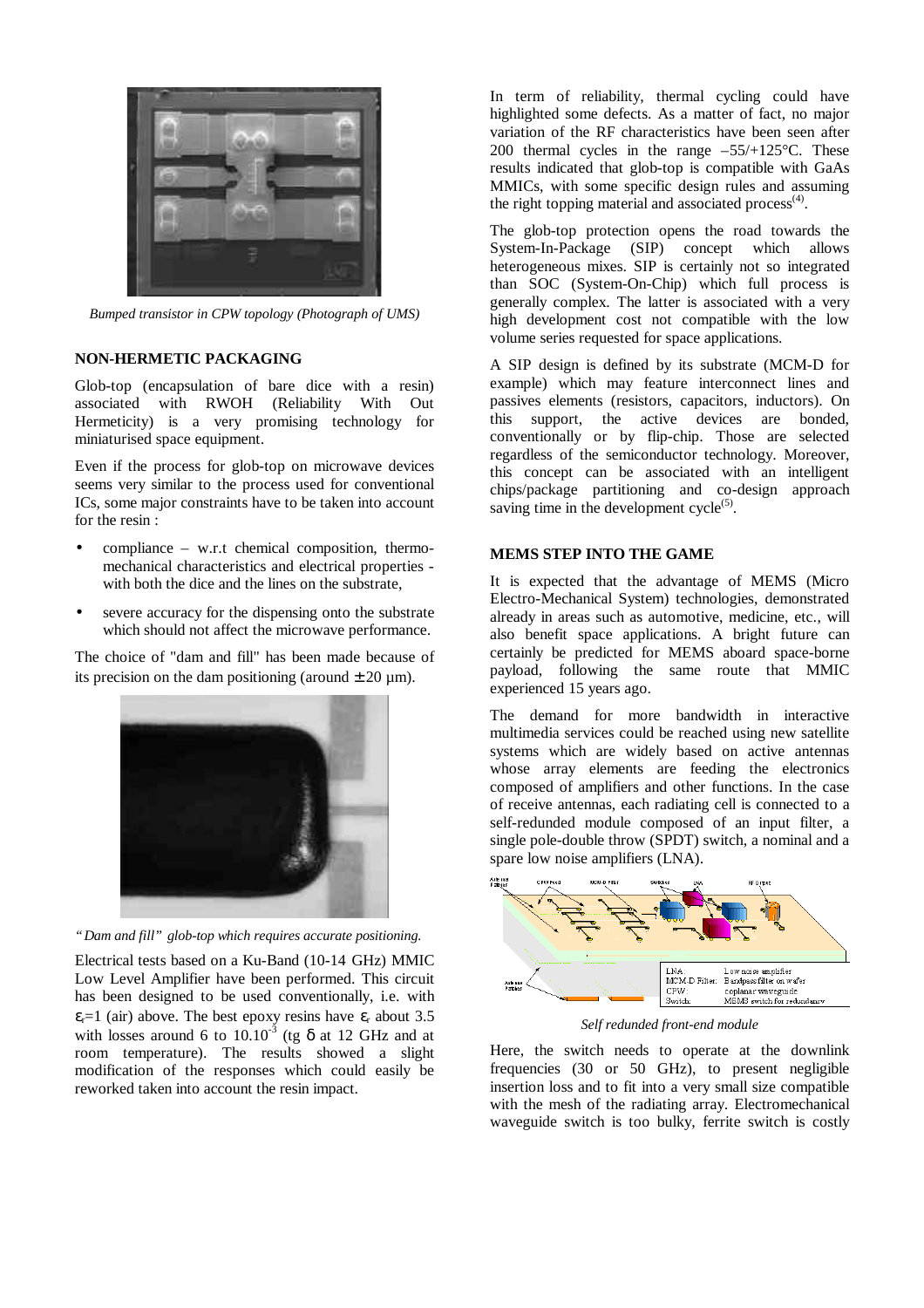

*Bumped transistor in CPW topology (Photograph of UMS)*

### **NON-HERMETIC PACKAGING**

Glob-top (encapsulation of bare dice with a resin) associated with RWOH (Reliability With Out Hermeticity) is a very promising technology for miniaturised space equipment.

Even if the process for glob-top on microwave devices seems very similar to the process used for conventional ICs, some major constraints have to be taken into account for the resin :

- compliance w.r.t chemical composition, thermomechanical characteristics and electrical properties with both the dice and the lines on the substrate,
- severe accuracy for the dispensing onto the substrate which should not affect the microwave performance.

The choice of "dam and fill" has been made because of its precision on the dam positioning (around  $\pm 20 \mu$ m).



*"Dam and fill" glob-top which requires accurate positioning.*

Electrical tests based on a Ku-Band (10-14 GHz) MMIC Low Level Amplifier have been performed. This circuit has been designed to be used conventionally, i.e. with  $\epsilon_{r}$ =1 (air) above. The best epoxy resins have  $\epsilon_{r}$  about 3.5 with losses around 6 to  $10.10^{-3}$  (tg  $\delta$  at 12 GHz and at room temperature). The results showed a slight modification of the responses which could easily be reworked taken into account the resin impact.

In term of reliability, thermal cycling could have highlighted some defects. As a matter of fact, no major variation of the RF characteristics have been seen after 200 thermal cycles in the range  $-55/+125$ °C. These results indicated that glob-top is compatible with GaAs MMICs, with some specific design rules and assuming the right topping material and associated process $(4)$ .

The glob-top protection opens the road towards the System-In-Package (SIP) concept which allows heterogeneous mixes. SIP is certainly not so integrated than SOC (System-On-Chip) which full process is generally complex. The latter is associated with a very high development cost not compatible with the low volume series requested for space applications.

A SIP design is defined by its substrate (MCM-D for example) which may feature interconnect lines and passives elements (resistors, capacitors, inductors). On this support, the active devices are bonded, conventionally or by flip-chip. Those are selected regardless of the semiconductor technology. Moreover, this concept can be associated with an intelligent chips/package partitioning and co-design approach saving time in the development  $cycle^{(5)}$ .

### **MEMS STEP INTO THE GAME**

It is expected that the advantage of MEMS (Micro Electro-Mechanical System) technologies, demonstrated already in areas such as automotive, medicine, etc., will also benefit space applications. A bright future can certainly be predicted for MEMS aboard space-borne payload, following the same route that MMIC experienced 15 years ago.

The demand for more bandwidth in interactive multimedia services could be reached using new satellite systems which are widely based on active antennas whose array elements are feeding the electronics composed of amplifiers and other functions. In the case of receive antennas, each radiating cell is connected to a self-redunded module composed of an input filter, a single pole-double throw (SPDT) switch, a nominal and a spare low noise amplifiers (LNA).



*Self redunded front-end module*

Here, the switch needs to operate at the downlink frequencies (30 or 50 GHz), to present negligible insertion loss and to fit into a very small size compatible with the mesh of the radiating array. Electromechanical waveguide switch is too bulky, ferrite switch is costly